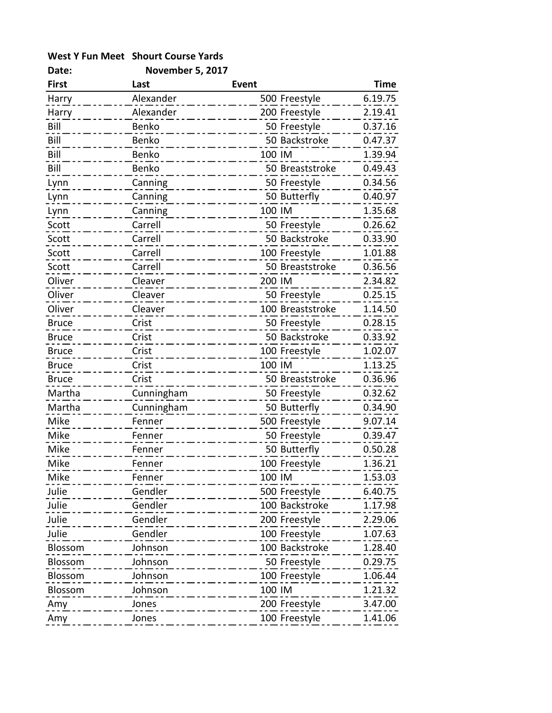## West Y Fun Meet Shourt Course Yards

| Date:        | <b>November 5, 2017</b>             |              |                  |         |
|--------------|-------------------------------------|--------------|------------------|---------|
| <b>First</b> | Last                                | <b>Event</b> |                  | Time    |
| Harry        | Alexander                           |              | 500 Freestyle    | 6.19.75 |
| Harry        | Alexander                           |              | 200 Freestyle    | 2.19.41 |
| Bill         | Benko                               |              | 50 Freestyle     | 0.37.16 |
| Bill         | Benko                               |              | 50 Backstroke    | 0.47.37 |
| Bill         | Benko                               | 100 IM       |                  | 1.39.94 |
| Bill         | Benko                               |              | 50 Breaststroke  | 0.49.43 |
| Lynn         | Canning                             |              | 50 Freestyle     | 0.34.56 |
| Lynn         | Canning                             |              | 50 Butterfly     | 0.40.97 |
| Lynn         | Canning                             | 100 IM       |                  | 1.35.68 |
| Scott        | Carrell                             |              | 50 Freestyle     | 0.26.62 |
| Scott        | Carrell                             |              | 50 Backstroke    | 0.33.90 |
| Scott        | Carrell                             |              | 100 Freestyle    | 1.01.88 |
| Scott        | Carrell                             |              | 50 Breaststroke  | 0.36.56 |
| Oliver       | Cleaver                             | 200 IM       |                  | 2.34.82 |
| Oliver       | Cleaver                             |              | 50 Freestyle     | 0.25.15 |
| Oliver       | Cleaver                             |              | 100 Breaststroke | 1.14.50 |
| <b>Bruce</b> | Crist                               |              | 50 Freestyle     | 0.28.15 |
| <b>Bruce</b> | Crist                               |              | 50 Backstroke    | 0.33.92 |
| <b>Bruce</b> | Crist                               |              | 100 Freestyle    | 1.02.07 |
| <b>Bruce</b> | Crist                               | 100 IM       |                  | 1.13.25 |
| <b>Bruce</b> | Crist                               |              | 50 Breaststroke  | 0.36.96 |
| Martha       | Cunningham                          |              | 50 Freestyle     | 0.32.62 |
| Martha       | Cunningham                          |              | 50 Butterfly     | 0.34.90 |
| Mike         | Fenner                              |              | 500 Freestyle    | 9.07.14 |
| Mike         | Fenner                              |              | 50 Freestyle     | 0.39.47 |
| Mike         | Fenner                              |              | 50 Butterfly     | 0.50.28 |
| Mike         | Fenner<br>_ _ _ _ _ _ _ _           |              | $100$ Freestyle  | 1.36.21 |
| Mike         | Fenner                              | 100 IM       |                  | 1.53.03 |
| Julie        | Gendler<br><u> 2002 - 2002 - 20</u> |              | 500 Freestyle    | 6.40.75 |
| Julie        | Gendler<br>__________               |              | 100 Backstroke   | 1.17.98 |
| Julie        | Gendler                             |              | 200 Freestyle    | 2.29.06 |
| Julie        | Gendler                             |              | 100 Freestyle    | 1.07.63 |
| Blossom      | Johnson                             |              | 100 Backstroke   | 1.28.40 |
| Blossom      | Johnson<br>.                        |              | 50 Freestyle     | 0.29.75 |
| Blossom      | Johnson                             |              | 100 Freestyle    | 1.06.44 |
| Blossom      | Johnson                             | 100 IM       |                  | 1.21.32 |
| Amy          | Jones                               |              | 200 Freestyle    | 3.47.00 |
| Amy          | Jones                               |              | 100 Freestyle    | 1.41.06 |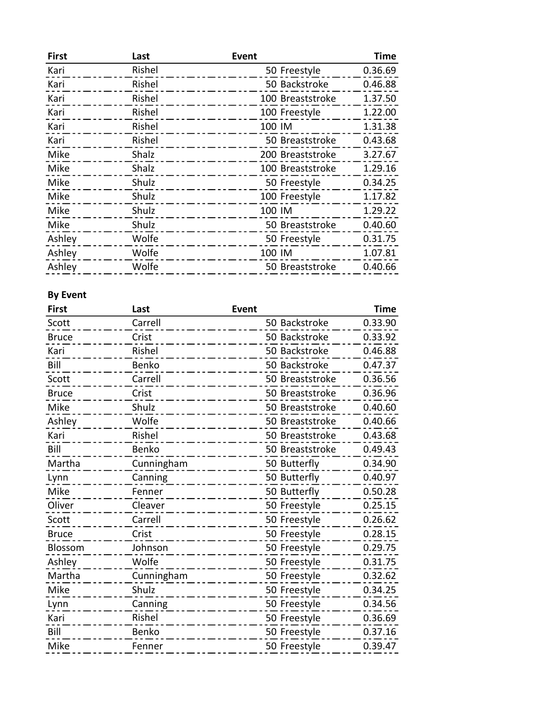| <b>First</b> | Last   | <b>Event</b>     | <b>Time</b> |
|--------------|--------|------------------|-------------|
| Kari         | Rishel | 50 Freestyle     | 0.36.69     |
| Kari         | Rishel | 50 Backstroke    | 0.46.88     |
| Kari         | Rishel | 100 Breaststroke | 1.37.50     |
| Kari         | Rishel | 100 Freestyle    | 1.22.00     |
| Kari         | Rishel | 100 IM           | 1.31.38     |
| Kari         | Rishel | 50 Breaststroke  | 0.43.68     |
| Mike         | Shalz  | 200 Breaststroke | 3.27.67     |
| Mike         | Shalz  | 100 Breaststroke | 1.29.16     |
| Mike         | Shulz  | 50 Freestyle     | 0.34.25     |
| Mike         | Shulz  | 100 Freestyle    | 1.17.82     |
| Mike         | Shulz  | 100 IM           | 1.29.22     |
| Mike         | Shulz  | 50 Breaststroke  | 0.40.60     |
| Ashley       | Wolfe  | 50 Freestyle     | 0.31.75     |
| Ashley       | Wolfe  | 100 IM           | 1.07.81     |
| Ashley       | Wolfe  | 50 Breaststroke  | 0.40.66     |

## By Event

| <b>Event</b> |                          | <b>Time</b>                                                                                                                                                                                                                                                                                                                                                                                                        |
|--------------|--------------------------|--------------------------------------------------------------------------------------------------------------------------------------------------------------------------------------------------------------------------------------------------------------------------------------------------------------------------------------------------------------------------------------------------------------------|
|              |                          | 0.33.90                                                                                                                                                                                                                                                                                                                                                                                                            |
|              |                          | 0.33.92                                                                                                                                                                                                                                                                                                                                                                                                            |
|              |                          | 0.46.88                                                                                                                                                                                                                                                                                                                                                                                                            |
|              |                          | 0.47.37                                                                                                                                                                                                                                                                                                                                                                                                            |
|              |                          | 0.36.56                                                                                                                                                                                                                                                                                                                                                                                                            |
|              |                          | 0.36.96                                                                                                                                                                                                                                                                                                                                                                                                            |
|              |                          | 0.40.60                                                                                                                                                                                                                                                                                                                                                                                                            |
|              |                          | 0.40.66                                                                                                                                                                                                                                                                                                                                                                                                            |
|              |                          | 0.43.68                                                                                                                                                                                                                                                                                                                                                                                                            |
|              |                          | 0.49.43                                                                                                                                                                                                                                                                                                                                                                                                            |
|              |                          | 0.34.90                                                                                                                                                                                                                                                                                                                                                                                                            |
|              |                          | 0.40.97                                                                                                                                                                                                                                                                                                                                                                                                            |
|              |                          | 0.50.28                                                                                                                                                                                                                                                                                                                                                                                                            |
|              |                          | 0.25.15                                                                                                                                                                                                                                                                                                                                                                                                            |
|              |                          | 0.26.62                                                                                                                                                                                                                                                                                                                                                                                                            |
|              |                          | 0.28.15                                                                                                                                                                                                                                                                                                                                                                                                            |
|              |                          | 0.29.75                                                                                                                                                                                                                                                                                                                                                                                                            |
|              |                          | 0.31.75                                                                                                                                                                                                                                                                                                                                                                                                            |
|              |                          | 0.32.62                                                                                                                                                                                                                                                                                                                                                                                                            |
|              |                          | 0.34.25                                                                                                                                                                                                                                                                                                                                                                                                            |
|              |                          | 0.34.56                                                                                                                                                                                                                                                                                                                                                                                                            |
|              |                          | 0.36.69                                                                                                                                                                                                                                                                                                                                                                                                            |
|              |                          | 0.37.16                                                                                                                                                                                                                                                                                                                                                                                                            |
|              |                          | 0.39.47                                                                                                                                                                                                                                                                                                                                                                                                            |
|              | Cunningham<br>Cunningham | 50 Backstroke<br>50 Backstroke<br>50 Backstroke<br>50 Backstroke<br>50 Breaststroke<br>50 Breaststroke<br>50 Breaststroke<br>50 Breaststroke<br>50 Breaststroke<br>50 Breaststroke<br>50 Butterfly<br>50 Butterfly<br>50 Butterfly<br>50 Freestyle<br>50 Freestyle<br>50 Freestyle<br>50 Freestyle<br>50 Freestyle<br>50 Freestyle<br>50 Freestyle<br>50 Freestyle<br>50 Freestyle<br>50 Freestyle<br>50 Freestyle |